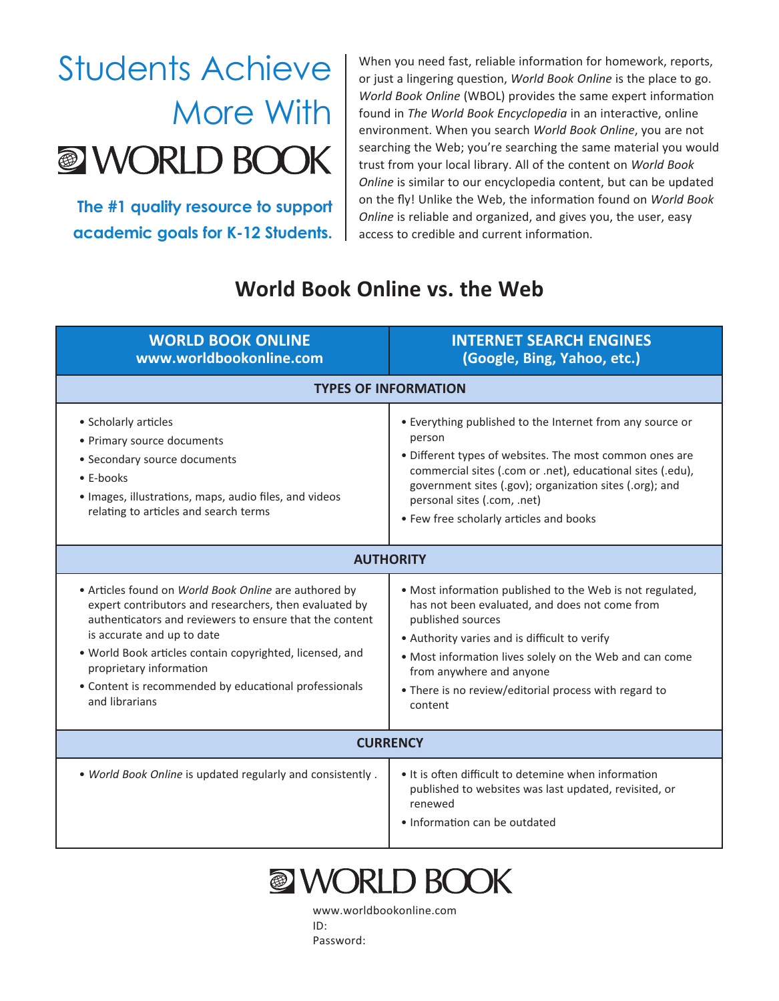## Students Achieve More With **WORLD BOOK**

**The #1 quality resource to support academic goals for K-12 Students.**

When you need fast, reliable information for homework, reports, or just a lingering question, *World Book Online* is the place to go. *World Book Online* (WBOL) provides the same expert information found in *The World Book Encyclopedia* in an interactive, online environment. When you search *World Book Online*, you are not searching the Web; you're searching the same material you would trust from your local library. All of the content on *World Book Online* is similar to our encyclopedia content, but can be updated on the fly! Unlike the Web, the information found on *World Book Online* is reliable and organized, and gives you, the user, easy access to credible and current information.

## **World Book Online vs. the Web**

| <b>WORLD BOOK ONLINE</b><br>www.worldbookonline.com                                                                                                                                                                                                                                                                                                                        | <b>INTERNET SEARCH ENGINES</b><br>(Google, Bing, Yahoo, etc.)                                                                                                                                                                                                                                                                                |
|----------------------------------------------------------------------------------------------------------------------------------------------------------------------------------------------------------------------------------------------------------------------------------------------------------------------------------------------------------------------------|----------------------------------------------------------------------------------------------------------------------------------------------------------------------------------------------------------------------------------------------------------------------------------------------------------------------------------------------|
| <b>TYPES OF INFORMATION</b>                                                                                                                                                                                                                                                                                                                                                |                                                                                                                                                                                                                                                                                                                                              |
| • Scholarly articles<br>• Primary source documents<br>• Secondary source documents<br>$\bullet$ E-books<br>· Images, illustrations, maps, audio files, and videos<br>relating to articles and search terms                                                                                                                                                                 | • Everything published to the Internet from any source or<br>person<br>• Different types of websites. The most common ones are<br>commercial sites (.com or .net), educational sites (.edu),<br>government sites (.gov); organization sites (.org); and<br>personal sites (.com, .net)<br>• Few free scholarly articles and books            |
| <b>AUTHORITY</b>                                                                                                                                                                                                                                                                                                                                                           |                                                                                                                                                                                                                                                                                                                                              |
| • Articles found on World Book Online are authored by<br>expert contributors and researchers, then evaluated by<br>authenticators and reviewers to ensure that the content<br>is accurate and up to date<br>. World Book articles contain copyrighted, licensed, and<br>proprietary information<br>• Content is recommended by educational professionals<br>and librarians | . Most information published to the Web is not regulated,<br>has not been evaluated, and does not come from<br>published sources<br>• Authority varies and is difficult to verify<br>. Most information lives solely on the Web and can come<br>from anywhere and anyone<br>• There is no review/editorial process with regard to<br>content |
| <b>CURRENCY</b>                                                                                                                                                                                                                                                                                                                                                            |                                                                                                                                                                                                                                                                                                                                              |
| . World Book Online is updated regularly and consistently .                                                                                                                                                                                                                                                                                                                | • It is often difficult to detemine when information<br>published to websites was last updated, revisited, or<br>renewed<br>• Information can be outdated                                                                                                                                                                                    |



www.worldbookonline.com ID: Password: